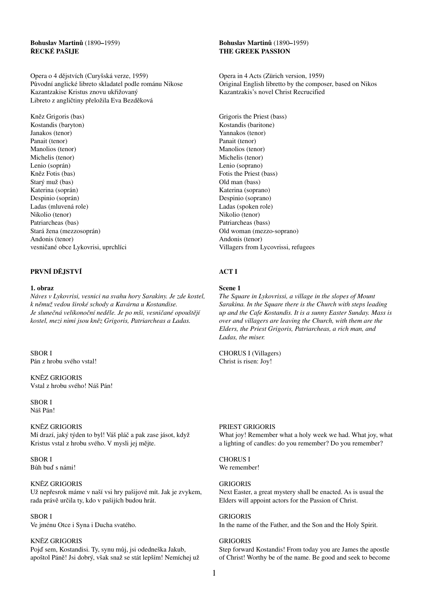### **Bohuslav Martinů** (1890**–**1959) **ŘECKÉ PAŠIJE**

Opera o 4 dějstvích (Curyšská verze, 1959) Původní anglické libreto skladatel podle románu Nikose Kazantzakise Kristus znovu ukřižovaný Libreto z angličtiny přeložila Eva Bezděková

Kněz Grigoris (bas) Kostandis (baryton) Janakos (tenor) Panait (tenor) Manolios (tenor) Michelis (tenor) Lenio (soprán) Kněz Fotis (bas) Starý muž (bas) Katerina (soprán) Despinio (soprán) Ladas (mluvená role) Nikolio (tenor) Patriarcheas (bas) Stará žena (mezzosoprán) Andonis (tenor) vesničané obce Lykovrisi, uprchlíci

### **PRVNÍ DĚJSTVÍ**

#### **1. obraz**

*Náves v Lykovrisi, vesnici na svahu hory Sarakiny. Je zde kostel, k němuž vedou široké schody a Kavárna u Kostandise. Je slunečná velikonoční neděle. Je po mši, vesničané opouštějí kostel, mezi nimi jsou kněz Grigoris, Patriarcheas a Ladas.*

#### SBOR I

Pán z hrobu svého vstal!

KNĚZ GRIGORIS Vstal z hrobu svého! Náš Pán!

SBOR I Náš Pán!

#### KNĚZ GRIGORIS

Mí drazí, jaký týden to byl! Váš pláč a pak zase jásot, když Kristus vstal z hrobu svého. V mysli jej mějte.

SBOR I Bůh buď s námi!

#### KNĚZ GRIGORIS

Už nepřesrok máme v naší vsi hry pašijové mít. Jak je zvykem, rada právě určila ty, kdo v pašijích budou hrát.

#### SBOR I

Ve jménu Otce i Syna i Ducha svatého.

#### KNĚZ GRIGORIS

Pojď sem, Kostandisi. Ty, synu můj, jsi odedneška Jakub, apoštol Páně! Jsi dobrý, však snaž se stát lepším! Nemíchej už

#### **Bohuslav Martinů** (1890**–**1959) **THE GREEK PASSION**

Opera in 4 Acts (Zürich version, 1959) Original English libretto by the composer, based on Nikos Kazantzakis's novel Christ Recrucified

Grigoris the Priest (bass) Kostandis (baritone) Yannakos (tenor) Panait (tenor) Manolios (tenor) Michelis (tenor) Lenio (soprano) Fotis the Priest (bass) Old man (bass) Katerina (soprano) Despinio (soprano) Ladas (spoken role) Nikolio (tenor) Patriarcheas (bass) Old woman (mezzo-soprano) Andonis (tenor) Villagers from Lycovrissi, refugees

### **ACT I**

### **Scene 1**

*The Square in Lykovrissi, a village in the slopes of Mount Sarakina. In the Square there is the Church with steps leading up and the Cafe Kostandis. It is a sunny Easter Sunday. Mass is over and villagers are leaving the Church, with them are the Elders, the Priest Grigoris, Patriarcheas, a rich man, and Ladas, the miser.*

CHORUS I (Villagers) Christ is risen: Joy!

#### PRIEST GRIGORIS

What joy! Remember what a holy week we had. What joy, what a lighting of candles: do you remember? Do you remember?

## CHORUS I

We remember!

#### GRIGORIS

Next Easter, a great mystery shall be enacted. As is usual the Elders will appoint actors for the Passion of Christ.

**GRIGORIS** 

In the name of the Father, and the Son and the Holy Spirit.

#### GRIGORIS

Step forward Kostandis! From today you are James the apostle of Christ! Worthy be of the name. Be good and seek to become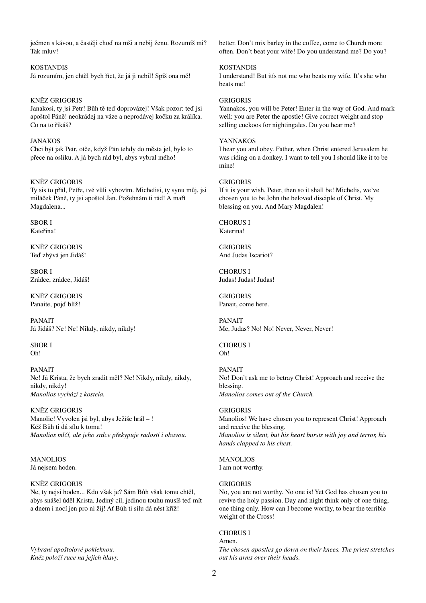ječmen s kávou, a častěji choď na mši a nebij ženu. Rozumíš mi? Tak mluv!

KOSTANDIS Já rozumím, jen chtěl bych říct, že já ji nebil! Spíš ona mě!

### KNĚZ GRIGORIS

Janakosi, ty jsi Petr! Bůh tě teď doprovázej! Však pozor: teď jsi apoštol Páně! neokrádej na váze a neprodávej kočku za králíka. Co na to říkáš?

JANAKOS Chci být jak Petr, otče, když Pán tehdy do města jel, bylo to přece na oslíku. A já bych rád byl, abys vybral mého!

#### KNĚZ GRIGORIS

Ty sis to přál, Petře, tvé vůli vyhovím. Michelisi, ty synu můj, jsi miláček Páně, ty jsi apoštol Jan. Požehnám ti rád! A maří Magdalena...

SBOR I Kateřina!

KNĚZ GRIGORIS Teď zbývá jen Jidáš!

SBOR I Zrádce, zrádce, Jidáš!

KNĚZ GRIGORIS Panaite, pojď blíž!

PANAIT Já Jidáš? Ne! Ne! Nikdy, nikdy, nikdy!

SBOR I Oh!

PANAIT Ne! Já Krista, že bych zradit měl? Ne! Nikdy, nikdy, nikdy, nikdy, nikdy! *Manolios vychází z kostela.*

KNĚZ GRIGORIS Manolie! Vyvolen jsi byl, abys Ježíše hrál – ! Kéž Bůh ti dá sílu k tomu! *Manolios mlčí, ale jeho srdce překypuje radostí i obavou.*

MANOLIOS Já nejsem hoden.

#### KNĚZ GRIGORIS

Ne, ty nejsi hoden... Kdo však je? Sám Bůh však tomu chtěl, abys snášel úděl Krista. Jediný cíl, jedinou touhu musíš teď mít a dnem i nocí jen pro ni žij! Ať Bůh ti sílu dá nést kříž!

*Vybraní apoštolové pokleknou. Kněz položí ruce na jejich hlavy.* better. Don't mix barley in the coffee, come to Church more often. Don't beat your wife! Do you understand me? Do you?

### KOSTANDIS

I understand! But itís not me who beats my wife. It's she who beats me!

#### GRIGORIS

Yannakos, you will be Peter! Enter in the way of God. And mark well: you are Peter the apostle! Give correct weight and stop selling cuckoos for nightingales. Do you hear me?

#### YANNAKOS

I hear you and obey. Father, when Christ entered Jerusalem he was riding on a donkey. I want to tell you I should like it to be mine!

#### GRIGORIS

If it is your wish, Peter, then so it shall be! Michelis, we've chosen you to be John the beloved disciple of Christ. My blessing on you. And Mary Magdalen!

CHORUS I Katerina!

GRIGORIS And Judas Iscariot?

CHORUS I Judas! Judas! Judas!

**GRIGORIS** Panait, come here.

PANAIT Me, Judas? No! No! Never, Never, Never!

CHORUS I Oh!

#### PANAIT

No! Don't ask me to betray Christ! Approach and receive the blessing. *Manolios comes out of the Church.*

#### GRIGORIS

Manolios! We have chosen you to represent Christ! Approach and receive the blessing. *Manolios is silent, but his heart bursts with joy and terror, his hands clapped to his chest.*

#### **MANOLIOS**

I am not worthy.

#### GRIGORIS

No, you are not worthy. No one is! Yet God has chosen you to revive the holy passion. Day and night think only of one thing, one thing only. How can I become worthy, to bear the terrible weight of the Cross!

#### CHORUS I Amen.

*The chosen apostles go down on their knees. The priest stretches out his arms over their heads.*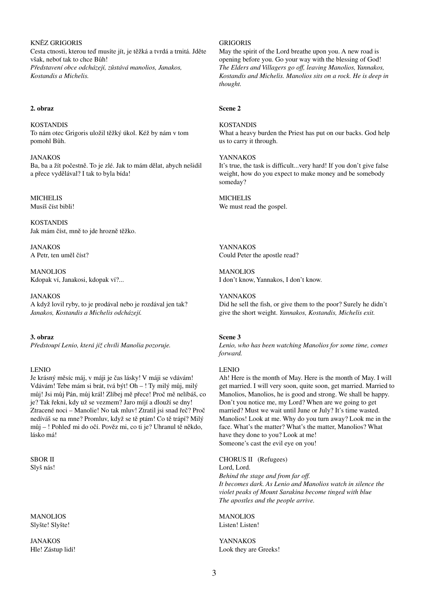KNĚZ GRIGORIS Cesta ctnosti, kterou teď musíte jít, je těžká a tvrdá a trnitá. Jděte však, neboť tak to chce Bůh! *Představení obce odcházejí, zůstává manolios, Janakos, Kostandis a Michelis.*

#### **2. obraz**

KOSTANDIS To nám otec Grigoris uložil těžký úkol. Kéž by nám v tom pomohl Bůh.

JANAKOS

Ba, ba a žít počestně. To je zlé. Jak to mám dělat, abych nešidil a přece vydělával? I tak to byla bída!

### **MICHELIS**

Musíš číst bibli!

KOSTANDIS Jak mám číst, mně to jde hrozně těžko.

JANAKOS A Petr, ten uměl číst?

**MANOLIOS** Kdopak ví, Janakosi, kdopak ví?...

JANAKOS A když lovil ryby, to je prodával nebo je rozdával jen tak? *Janakos, Kostandis a Michelis odcházejí.*

**3. obraz** *Předstoupí Lenio, která již chvíli Manolia pozoruje.*

### LENIO

Je krásný měsíc máj, v máji je čas lásky! V máji se vdávám! Vdávám! Tebe mám si brát, tvá být! Oh – ! Ty milý můj, milý můj! Jsi můj Pán, můj král! Zlíbej mě přece! Proč mě nelíbáš, co je? Tak řekni, kdy už se vezmem? Jaro míjí a dlouží se dny! Ztracené noci – Manolie! No tak mluv! Ztratil jsi snad řeč? Proč nedíváš se na mne? Promluv, když se tě ptám! Co tě trápí? Milý můj – ! Pohleď mi do očí. Pověz mi, co ti je? Uhranul tě někdo, lásko má!

SBOR II Slyš nás!

MANOLIOS Slyšte! Slyšte!

JANAKOS Hle! Zástup lidí!

### GRIGORIS

May the spirit of the Lord breathe upon you. A new road is opening before you. Go your way with the blessing of God! *The Elders and Villagers go off, leaving Manolios, Yannakos, Kostandis and Michelis. Manolios sits on a rock. He is deep in thought.*

#### **Scene 2**

#### KOSTANDIS

What a heavy burden the Priest has put on our backs. God help us to carry it through.

#### YANNAKOS

It's true, the task is difficult...very hard! If you don't give false weight, how do you expect to make money and be somebody someday?

**MICHELIS** 

We must read the gospel.

YANNAKOS Could Peter the apostle read?

**MANOLIOS** I don't know, Yannakos, I don't know.

YANNAKOS

Did he sell the fish, or give them to the poor? Surely he didn't give the short weight. *Yannakos, Kostandis, Michelis exit.*

#### **Scene 3**

*Lenio, who has been watching Manolios for some time, comes forward.*

#### LENIO

Ah! Here is the month of May. Here is the month of May. I will get married. I will very soon, quite soon, get married. Married to Manolios, Manolios, he is good and strong. We shall be happy. Don't you notice me, my Lord? When are we going to get married? Must we wait until June or July? It's time wasted. Manolios! Look at me. Why do you turn away? Look me in the face. What's the matter? What's the matter, Manolios? What have they done to you? Look at me! Someone's cast the evil eye on you!

CHORUS II (Refugees) Lord, Lord. *Behind the stage and from far off. It becomes dark. As Lenio and Manolios watch in silence the violet peaks of Mount Sarakina become tinged with blue The apostles and the people arrive.*

**MANOLIOS** Listen! Listen!

YANNAKOS Look they are Greeks!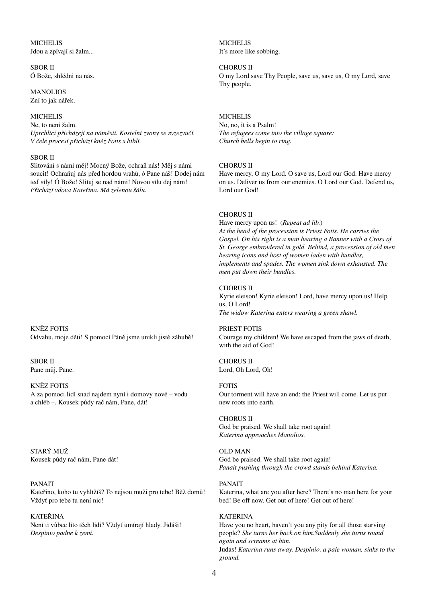### **MICHELIS** Jdou a zpívají si žalm...

SBOR II Ó Bože, shlédni na nás.

MANOLIOS Zní to jak nářek.

### **MICHELIS**

Ne, to není žalm. *Uprchlíci přicházejí na náměstí. Kostelní zvony se rozezvučí. V čele procesí přichází kněz Fotis s biblí.*

### SBOR II

Slitování s námi měj! Mocný Bože, ochraň nás! Měj s námi soucit! Ochraňuj nás před hordou vrahů, ó Pane náš! Dodej nám teď síly! Ó Bože! Slituj se nad námi! Novou sílu dej nám! *Přichází vdova Kateřina. Má zelenou šálu.*

KNĚZ FOTIS Odvahu, moje děti! S pomocí Páně jsme unikli jisté záhubě!

SBOR II Pane můj. Pane.

#### KNĚZ FOTIS

A za pomoci lidí snad najdem nyní i domovy nové – vodu a chléb –. Kousek půdy rač nám, Pane, dát!

STARÝ MUŽ Kousek půdy rač nám, Pane dát!

#### PANAIT

Kateřino, koho tu vyhlížíš? To nejsou muži pro tebe! Běž domů! Vždyť pro tebe tu není nic!

KATEŘINA Není ti vůbec líto těch lidí? Vždyť umírají hlady. Jidáši! *Despinio padne k zemi.*

MICHELIS It's more like sobbing.

CHORUS II

O my Lord save Thy People, save us, save us, O my Lord, save Thy people.

### **MICHELIS**

No, no, it is a Psalm! *The refugees come into the village square: Church bells begin to ring.*

### CHORUS II

Have mercy, O my Lord. O save us, Lord our God. Have mercy on us. Deliver us from our enemies. O Lord our God. Defend us, Lord our God!

### CHORUS II

Have mercy upon us! (*Repeat ad lib.*) *At the head of the procession is Priest Fotis. He carries the Gospel. On his right is a man bearing a Banner with a Cross of St. George embroidered in gold. Behind, a procession of old men bearing icons and host of women laden with bundles, implements and spades. The women sink down exhausted. The men put down their bundles.*

#### CHORUS II

Kyrie eleison! Kyrie eleison! Lord, have mercy upon us! Help us, O Lord! *The widow Katerina enters wearing a green shawl.*

#### PRIEST FOTIS

Courage my children! We have escaped from the jaws of death, with the aid of God!

CHORUS II Lord, Oh Lord, Oh!

#### FOTIS

Our torment will have an end: the Priest will come. Let us put new roots into earth.

#### CHORUS II

God be praised. We shall take root again! *Katerina approaches Manolios.*

#### OLD MAN God be praised. We shall take root again! *Panait pushing through the crowd stands behind Katerina.*

#### PANAIT

Katerina, what are you after here? There's no man here for your bed! Be off now. Get out of here! Get out of here!

#### **KATERINA**

Have you no heart, haven't you any pity for all those starving people? *She turns her back on him.Suddenly she turns round again and screams at him.* Judas! *Katerina runs away. Despinio, a pale woman, sinks to the ground.*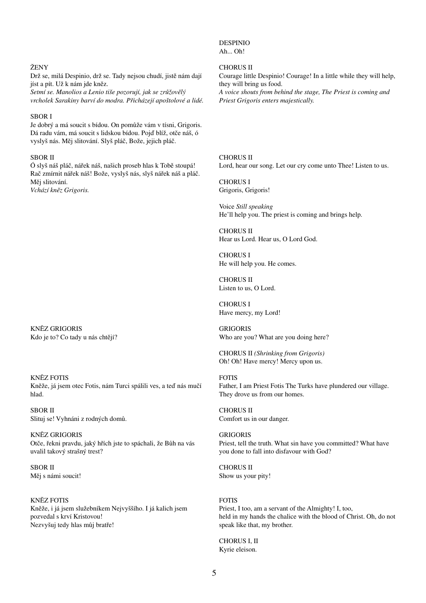### DESPINIO

Ah... Oh!

#### CHORUS II

Courage little Despinio! Courage! In a little while they will help, they will bring us food. *A voice shouts from behind the stage, The Priest is coming and Priest Grigoris enters majestically.*

CHORUS II Lord, hear our song. Let our cry come unto Thee! Listen to us.

CHORUS I Grigoris, Grigoris!

Voice *Still speaking*  He'll help you. The priest is coming and brings help.

CHORUS II Hear us Lord. Hear us, O Lord God.

CHORUS I He will help you. He comes.

CHORUS II Listen to us, O Lord.

CHORUS I Have mercy, my Lord!

GRIGORIS Who are you? What are you doing here?

CHORUS II *(Shrinking from Grigoris)*  Oh! Oh! Have mercy! Mercy upon us.

### FOTIS

Father, I am Priest Fotis The Turks have plundered our village. They drove us from our homes.

CHORUS II Comfort us in our danger.

**GRIGORIS** Priest, tell the truth. What sin have you committed? What have you done to fall into disfavour with God?

CHORUS II Show us your pity!

#### FOTIS

Priest, I too, am a servant of the Almighty! I, too, held in my hands the chalice with the blood of Christ. Oh, do not speak like that, my brother.

CHORUS I, II Kyrie eleison.

#### ŽENY

Drž se, milá Despinio, drž se. Tady nejsou chudí, jistě nám dají jíst a pít. Už k nám jde kněz.

*Setmí se. Manolios a Lenio tiše pozorují, jak se zrůžovělý vrcholek Sarakiny barví do modra. Přicházejí apoštolové a lidé.*

### SBOR I

Je dobrý a má soucit s bídou. On pomůže vám v tísni, Grigoris. Dá radu vám, má soucit s lidskou bídou. Pojď blíž, otče náš, ó vyslyš nás. Měj slitování. Slyš pláč, Bože, jejich pláč.

### SBOR II

Ó slyš náš pláč, nářek náš, našich proseb hlas k Tobě stoupá! Rač zmírnit nářek náš! Bože, vyslyš nás, slyš nářek náš a pláč. Měj slitování. *Vchází kněz Grigoris.*

KNĚZ GRIGORIS Kdo je to? Co tady u nás chtějí?

#### KNĚZ FOTIS

Kněže, já jsem otec Fotis, nám Turci spálili ves, a teď nás mučí hlad.

SBOR II Slituj se! Vyhnáni z rodných domů.

KNĚZ GRIGORIS Otče, řekni pravdu, jaký hřích jste to spáchali, že Bůh na vás uvalil takový strašný trest?

SBOR II Měj s námi soucit!

#### KNĚZ FOTIS

Kněže, i já jsem služebníkem Nejvyššího. I já kalich jsem pozvedal s krví Kristovou! Nezvyšuj tedy hlas můj bratře!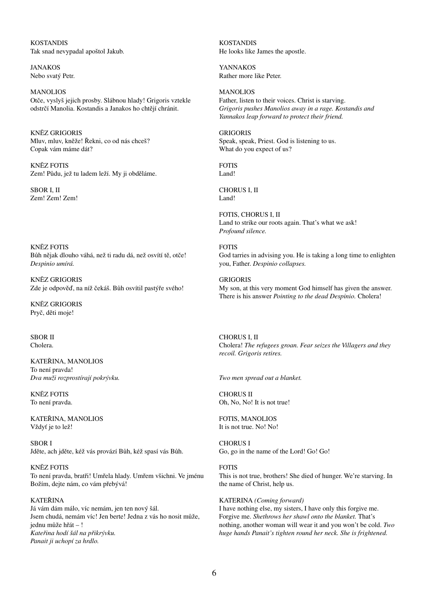KOSTANDIS Tak snad nevypadal apoštol Jakub.

JANAKOS Nebo svatý Petr.

MANOLIOS Otče, vyslyš jejich prosby. Slábnou hlady! Grigoris vztekle odstrčí Manolia. Kostandis a Janakos ho chtějí chránit.

KNĚZ GRIGORIS Mluv, mluv, kněže! Řekni, co od nás chceš? Copak vám máme dát?

KNĚZ FOTIS Zem! Půdu, jež tu ladem leží. My ji obděláme.

SBOR I, II Zem! Zem! Zem!

KNĚZ FOTIS Bůh nějak dlouho váhá, než ti radu dá, než osvítí tě, otče! *Despinio umírá.*

KNĚZ GRIGORIS Zde je odpověď, na níž čekáš. Bůh osvítil pastýře svého!

KNĚZ GRIGORIS Pryč, děti moje!

SBOR II Cholera.

KATEŘINA, MANOLIOS To není pravda! *Dva muži rozprostírají pokrývku.*

KNĚZ FOTIS To není pravda.

KATEŘINA, MANOLIOS Vždyť je to lež!

SBOR I Jděte, ach jděte, kéž vás provází Bůh, kéž spasí vás Bůh.

KNĚZ FOTIS To není pravda, bratři! Umřela hlady. Umřem všichni. Ve jménu Božím, dejte nám, co vám přebývá!

### KATEŘINA

Já vám dám málo, víc nemám, jen ten nový šál. Jsem chudá, nemám víc! Jen berte! Jedna z vás ho nosit může, jednu může hřát – ! *Kateřina hodí šál na přikrývku. Panait ji uchopí za hrdlo.*

KOSTANDIS He looks like James the apostle.

YANNAKOS Rather more like Peter.

MANOLIOS Father, listen to their voices. Christ is starving. *Grigoris pushes Manolios away in a rage. Kostandis and Yannakos leap forward to protect their friend.*

GRIGORIS Speak, speak, Priest. God is listening to us. What do you expect of us?

FOTIS Land!

CHORUS I, II Land!

FOTIS, CHORUS I, II Land to strike our roots again. That's what we ask! *Profound silence.*

FOTIS God tarries in advising you. He is taking a long time to enlighten you, Father. *Despinio collapses.*

**GRIGORIS** My son, at this very moment God himself has given the answer. There is his answer *Pointing to the dead Despinio.* Cholera!

CHORUS I, II Cholera! *The refugees groan. Fear seizes the Villagers and they recoil. Grigoris retires.*

*Two men spread out a blanket.*

CHORUS II Oh, No, No! It is not true!

FOTIS, MANOLIOS It is not true. No! No!

CHORUS I Go, go in the name of the Lord! Go! Go!

FOTIS This is not true, brothers! She died of hunger. We're starving. In the name of Christ, help us.

KATERINA *(Coming forward)*  I have nothing else, my sisters, I have only this forgive me. Forgive me. *Shethrows her shawl onto the blanket.* That's nothing, another woman will wear it and you won't be cold. *Two huge hands Panait's tighten round her neck. She is frightened.*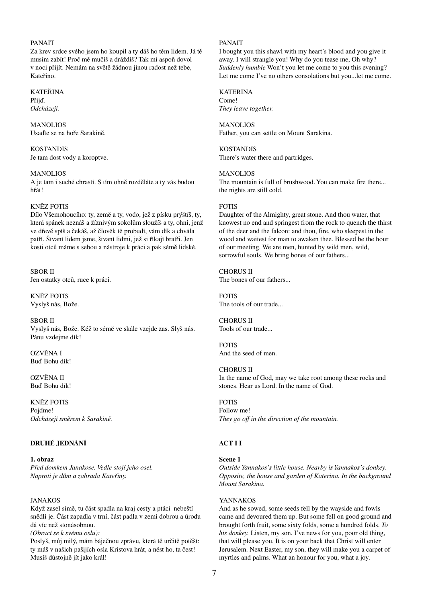### PANAIT

Za krev srdce svého jsem ho koupil a ty dáš ho těm lidem. Já tě musím zabít! Proč mě mučíš a dráždíš? Tak mi aspoň dovol v noci přijít. Nemám na světě žádnou jinou radost než tebe, Kateřino.

## KATEŘINA

Přijď. *Odcházejí.*

#### MANOLIOS Usaďte se na hoře Sarakině.

KOSTANDIS Je tam dost vody a koroptve.

### MANOLIOS

A je tam i suché chrastí. S tím ohně rozděláte a ty vás budou hřát!

### KNĚZ FOTIS

Dílo Všemohoucího: ty, země a ty, vodo, jež z písku prýštíš, ty, která spánek neznáš a žíznivým sokolům sloužíš a ty, ohni, jenž ve dřevě spíš a čekáš, až člověk tě probudí, vám dík a chvála patří. Štvaní lidem jsme, štvaní lidmi, jež si říkají bratři. Jen kosti otců máme s sebou a nástroje k práci a pak sémě lidské.

SBOR II Jen ostatky otců, ruce k práci.

KNĚZ FOTIS Vyslyš nás, Bože.

#### SBOR II

Vyslyš nás, Bože. Kéž to sémě ve skále vzejde zas. Slyš nás. Pánu vzdejme dík!

OZVĚNA I Buď Bohu dík!

OZVĚNA II Buď Bohu dík!

KNĚZ FOTIS Pojďme! *Odcházejí směrem k Sarakině.*

### **DRUHÉ JEDNÁNÍ**

**1. obraz** *Před domkem Janakose. Vedle stojí jeho osel. Naproti je dům a zahrada Kateřiny.*

### JANAKOS

Když zasel símě, tu část spadla na kraj cesty a ptáci nebeští snědli je. Část zapadla v trní, část padla v zemi dobrou a úrodu dá víc než stonásobnou.

*(Obrací se k svému oslu):*

Poslyš, můj milý, mám báječnou zprávu, která tě určitě potěší: ty máš v našich pašijích osla Kristova hrát, a nést ho, ta čest! Musíš důstojně jít jako král!

### PANAIT

I bought you this shawl with my heart's blood and you give it away. I will strangle you! Why do you tease me, Oh why? *Suddenly humble* Won't you let me come to you this evening? Let me come I've no others consolations but you...let me come.

### **KATERINA** Come!

*They leave together.*

### **MANOLIOS**

Father, you can settle on Mount Sarakina.

KOSTANDIS There's water there and partridges.

### **MANOLIOS**

The mountain is full of brushwood. You can make fire there... the nights are still cold.

### FOTIS

Daughter of the Almighty, great stone. And thou water, that knowest no end and springest from the rock to quench the thirst of the deer and the falcon: and thou, fire, who sleepest in the wood and waitest for man to awaken thee. Blessed be the hour of our meeting. We are men, hunted by wild men, wild, sorrowful souls. We bring bones of our fathers...

# CHORUS II

The bones of our fathers...

FOTIS The tools of our trade...

CHORUS II Tools of our trade...

FOTIS And the seed of men.

#### CHORUS II

In the name of God, may we take root among these rocks and stones. Hear us Lord. In the name of God.

FOTIS Follow me! *They go off in the direction of the mountain.*

### **ACT I I**

#### **Scene 1**

*Outside Yannakos's little house. Nearby is Yannakos's donkey. Opposite, the house and garden of Katerina. In the background Mount Sarakina.*

#### YANNAKOS

And as he sowed, some seeds fell by the wayside and fowls came and devoured them up. But some fell on good ground and brought forth fruit, some sixty folds, some a hundred folds. *To his donkey.* Listen, my son. I've news for you, poor old thing, that will please you. It is on your back that Christ will enter Jerusalem. Next Easter, my son, they will make you a carpet of myrtles and palms. What an honour for you, what a joy.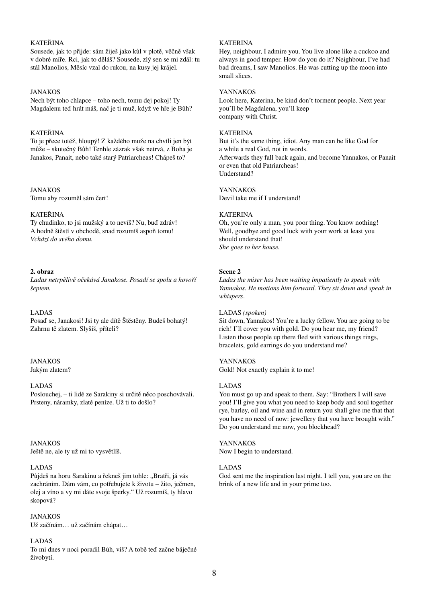### KATEŘINA

Sousede, jak to přijde: sám žiješ jako kůl v plotě, věčně však v dobré míře. Rci, jak to děláš? Sousede, zlý sen se mi zdál: tu stál Manolios, Měsíc vzal do rukou, na kusy jej krájel.

### JANAKOS

Nech být toho chlapce – toho nech, tomu dej pokoj! Ty Magdalenu teď hrát máš, nač je ti muž, když ve hře je Bůh?

### KATEŘINA

To je přece totéž, hloupý! Z každého muže na chvíli jen být může – skutečný Bůh! Tenhle zázrak však netrvá, z Boha je Janakos, Panait, nebo také starý Patriarcheas! Chápeš to?

JANAKOS Tomu aby rozuměl sám čert!

### KATEŘINA

Ty chudinko, to jsi mužský a to nevíš? Nu, buď zdráv! A hodně štěstí v obchodě, snad rozumíš aspoň tomu! *Vchází do svého domu.*

### **2. obraz**

*Ladas netrpělivě očekává Janakose. Posadí se spolu a hovoří šeptem.*

### LADAS

Posaď se, Janakosi! Jsi ty ale dítě Štěstěny. Budeš bohatý! Zahrnu tě zlatem. Slyšíš, příteli?

# JANAKOS

Jakým zlatem?

#### LADAS

Poslouchej, – ti lidé ze Sarakiny si určitě něco poschovávali. Prsteny, náramky, zlaté peníze. Už ti to došlo?

JANAKOS Ještě ne, ale ty už mi to vysvětlíš.

### LADAS

Půjdeš na horu Sarakinu a řekneš jim tohle: "Bratři, já vás zachráním. Dám vám, co potřebujete k životu – žito, ječmen, olej a víno a vy mi dáte svoje šperky." Už rozumíš, ty hlavo skopová?

### JANAKOS

Už začínám… už začínám chápat…

#### LADAS

To mi dnes v noci poradil Bůh, víš? A tobě teď začne báječné živobytí.

### **KATERINA**

Hey, neighbour, I admire you. You live alone like a cuckoo and always in good temper. How do you do it? Neighbour, I've had bad dreams, I saw Manolios. He was cutting up the moon into small slices.

### YANNAKOS

Look here, Katerina, be kind don't torment people. Next year you'll be Magdalena, you'll keep company with Christ.

### KATERINA

But it's the same thing, idiot. Any man can be like God for a while a real God, not in words. Afterwards they fall back again, and become Yannakos, or Panait or even that old Patriarcheas! Understand?

### YANNAKOS

Devil take me if I understand!

### KATERINA

Oh, you're only a man, you poor thing. You know nothing! Well, goodbye and good luck with your work at least you should understand that! *She goes to her house.*

### **Scene 2**

*Ladas the miser has been waiting impatiently to speak with Yannakos. He motions him forward. They sit down and speak in whispers*.

### LADAS *(spoken)*

Sit down, Yannakos! You're a lucky fellow. You are going to be rich! I'll cover you with gold. Do you hear me, my friend? Listen those people up there fled with various things rings, bracelets, gold earrings do you understand me?

### YANNAKOS

Gold! Not exactly explain it to me!

### LADAS

You must go up and speak to them. Say: "Brothers I will save you! I'll give you what you need to keep body and soul together rye, barley, oil and wine and in return you shall give me that that you have no need of now: jewellery that you have brought with." Do you understand me now, you blockhead?

# YANNAKOS

Now I begin to understand.

#### LADAS

God sent me the inspiration last night. I tell you, you are on the brink of a new life and in your prime too.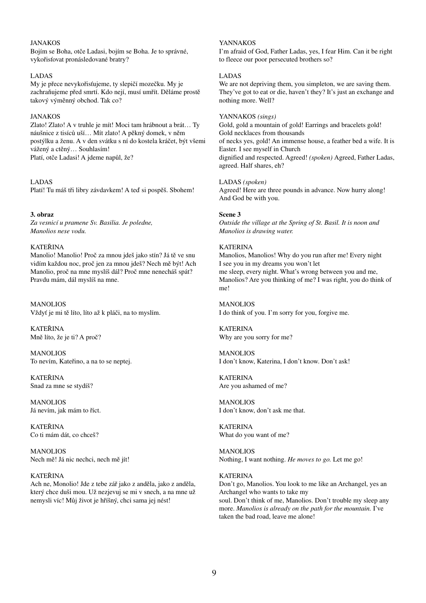### JANAKOS

Bojím se Boha, otče Ladasi, bojím se Boha. Je to správné, vykořisťovat pronásledované bratry?

#### LADAS

My je přece nevykořisťujeme, ty slepičí mozečku. My je zachraňujeme před smrtí. Kdo nejí, musí umřít. Děláme prostě takový výměnný obchod. Tak co?

#### JANAKOS

Zlato! Zlato! A v truhle je mít! Moci tam hrábnout a brát… Ty náušnice z tisíců uší… Mít zlato! A pěkný domek, v něm postýlku a ženu. A v den svátku s ní do kostela kráčet, být všemi vážený a ctěný… Souhlasím! Platí, otče Ladasi! A jdeme napůl, že?

#### LADAS

Platí! Tu máš tři libry závdavkem! A teď si pospěš. Sbohem!

#### **3. obraz**

*Za vesnicí u pramene Sv. Basilia. Je poledne, Manolios nese vodu.*

#### KATEŘINA

Manolio! Manolio! Proč za mnou jdeš jako stín? Já tě ve snu vidím každou noc, proč jen za mnou jdeš? Nech mě být! Ach Manolio, proč na mne myslíš dál? Proč mne nenecháš spát? Pravdu mám, dál myslíš na mne.

**MANOLIOS** Vždyť je mi tě líto, líto až k pláči, na to myslím.

KATEŘINA Mně líto, že je ti? A proč?

MANOLIOS To nevím, Kateřino, a na to se neptej.

KATEŘINA Snad za mne se stydíš?

MANOLIOS Já nevím, jak mám to říct.

KATEŘINA Co ti mám dát, co chceš?

MANOLIOS Nech mě! Já nic nechci, nech mě jít!

### KATEŘINA

Ach ne, Monolio! Jde z tebe zář jako z anděla, jako z anděla, který chce duši mou. Už nezjevuj se mi v snech, a na mne už nemysli víc! Můj život je hříšný, chci sama jej nést!

### YANNAKOS

I'm afraid of God, Father Ladas, yes, I fear Him. Can it be right to fleece our poor persecuted brothers so?

### LADAS

We are not depriving them, you simpleton, we are saving them. They've got to eat or die, haven't they? It's just an exchange and nothing more. Well?

#### YANNAKOS *(sings)*

Gold, gold a mountain of gold! Earrings and bracelets gold! Gold necklaces from thousands of necks yes, gold! An immense house, a feather bed a wife. It is Easter. I see myself in Church dignified and respected. Agreed! *(spoken)* Agreed, Father Ladas, agreed. Half shares, eh?

#### LADAS *(spoken)*

Agreed! Here are three pounds in advance. Now hurry along! And God be with you.

#### **Scene 3**

*Outside the village at the Spring of St. Basil. It is noon and Manolios is drawing water.*

#### **KATERINA**

Manolios, Manolios! Why do you run after me! Every night I see you in my dreams you won't let me sleep, every night. What's wrong between you and me, Manolios? Are you thinking of me? I was right, you do think of me!

MANOLIOS I do think of you. I'm sorry for you, forgive me.

**KATERINA** Why are you sorry for me?

MANOLIOS I don't know, Katerina, I don't know. Don't ask!

KATERINA Are you ashamed of me?

**MANOLIOS** I don't know, don't ask me that.

**KATERINA** What do you want of me?

MANOLIOS Nothing, I want nothing. *He moves to go.* Let me go!

### **KATERINA**

Don't go, Manolios. You look to me like an Archangel, yes an Archangel who wants to take my soul. Don't think of me, Manolios. Don't trouble my sleep any more. *Manolios is already on the path for the mountain.* I've taken the bad road, leave me alone!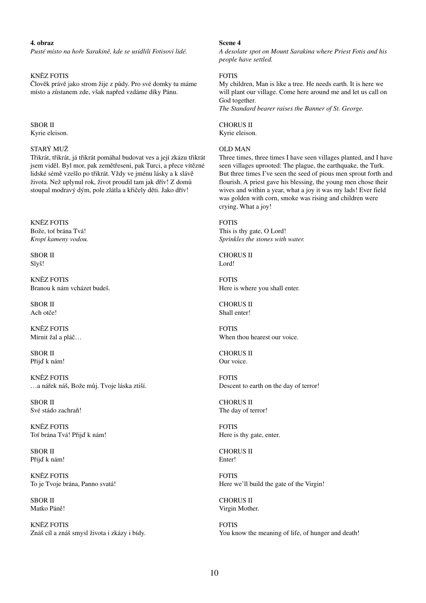### **4. obraz**

*Pusté místo na hoře Sarakině, kde se usídlili Fotisovi lidé.*

### KNĚZ FOTIS

Člověk právě jako strom žije z půdy. Pro své domky tu máme místo a zůstanem zde, však napřed vzdáme díky Pánu.

SBOR II Kyrie eleison.

### STARÝ MUŽ

Třikrát, třikrát, já třikrát pomáhal budovat ves a její zkázu třikrát jsem viděl. Byl mor, pak zemětřesení, pak Turci, a přece vítězné lidské sémě vzešlo po třikrát. Vždy ve jménu lásky a k slávě života. Než uplynul rok, život proudil tam jak dřív! Z domů stoupal modravý dým, pole zlátla a křičely děti. Jako dřív!

KNĚZ FOTIS Bože, toť brána Tvá! *Kropí kameny vodou.*

SBOR II Slyš!

KNĚZ FOTIS Branou k nám vcházet budeš.

SBOR II Ach otče!

KNĚZ FOTIS Mírnit žal a pláč…

SBOR II Přijď k nám!

KNĚZ FOTIS …a nářek náš, Bože můj. Tvoje láska ztiší.

SBOR II Své stádo zachraň!

KNĚZ FOTIS Toť brána Tvá! Přijď k nám!

SBOR II Přijď k nám!

KNĚZ FOTIS To je Tvoje brána, Panno svatá!

SBOR II Matko Páně!

KNĚZ FOTIS Znáš cíl a znáš smysl života i zkázy i bídy.

### **Scene 4**

*A desolate spot on Mount Sarakina where Priest Fotis and his people have settled.*

### FOTIS

My children, Man is like a tree. He needs earth. It is here we will plant our village. Come here around me and let us call on God together.

*The Standard bearer raises the Banner of St. George.*

CHORUS II Kyrie eleison.

#### OLD MAN

Three times, three times I have seen villages planted, and I have seen villages uprooted: The plague, the earthquake, the Turk. But three times I've seen the seed of pious men sprout forth and flourish. A priest gave his blessing, the young men chose their wives and within a year, what a joy it was my lads! Ever field was golden with corn, smoke was rising and children were crying. What a joy!

FOTIS

This is thy gate, O Lord! *Sprinkles the stones with water.*

CHORUS II Lord!

FOTIS Here is where you shall enter.

CHORUS II Shall enter!

FOTIS When thou hearest our voice.

CHORUS II Our voice.

FOTIS Descent to earth on the day of terror!

CHORUS II The day of terror!

FOTIS Here is thy gate, enter.

CHORUS II Enter!

FOTIS Here we'll build the gate of the Virgin!

CHORUS II Virgin Mother.

FOTIS You know the meaning of life, of hunger and death!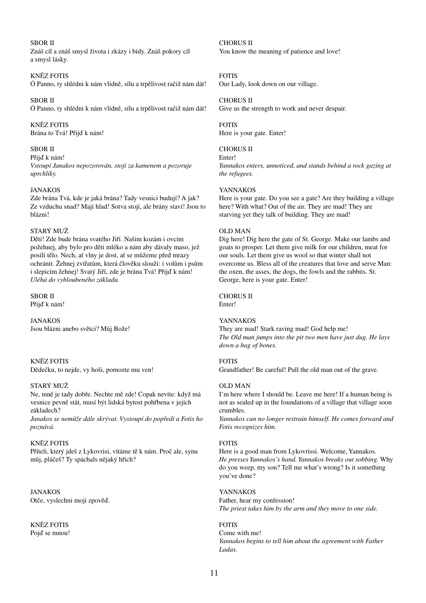### SBOR II

Znáš cíl a znáš smysl života i zkázy i bídy. Znáš pokory cíl a smysl lásky.

### KNĚZ FOTIS

Ó Panno, ty shlédni k nám vlídně, sílu a trpělivost račiž nám dát!

SBOR II Ó Panno, ty shlédni k nám vlídně, sílu a trpělivost račiž nám dát!

KNĚZ FOTIS Brána to Tvá! Přijď k nám!

#### SBOR II

Přijď k nám!

*Vstoupí Janakos nepozorován, stojí za kamenem a pozoruje uprchlíky.*

### JANAKOS

Zde brána Tvá, kde je jaká brána? Tady vesnici budují? A jak? Ze vzduchu snad? Mají hlad! Sotva stojí, ale brány staví! Jsou to blázni!

### STARÝ MUŽ

Děti! Zde bude brána svatého Jiří. Našim kozám i ovcím požehnej, aby bylo pro děti mléko a nám aby dávaly maso, jež posílí tělo. Nech, ať vlny je dost, ať se můžeme před mrazy ochránit. Žehnej zvířatům, která člověku slouží: i volům i psům i slepicím žehnej! Svatý Jiří, zde je brána Tvá! Přijď k nám! *Uléhá do vyhloubeného základu.*

### SBOR II

Přijď k nám!

JANAKOS Jsou blázni anebo světci? Můj Bože!

KNĚZ FOTIS Dědečku, to nejde, vy hoši, pomozte mu ven!

#### STARÝ MUŽ

Ne, mně je tady dobře. Nechte mě zde! Copak nevíte: když má vesnice pevně stát, musí být lidská bytost pohřbena v jejích základech?

*Janakos se nemůže dále skrývat. Vystoupí do popředí a Fotis ho poznává.*

#### KNĚZ FOTIS

Příteli, který jdeš z Lykovrisi, vítáme tě k nám. Proč ale, synu můj, pláčeš? Ty spáchals nějaký hřích?

JANAKOS Otče, vyslechni moji zpověď.

KNĚZ FOTIS Pojď se mnou! CHORUS II You know the meaning of patience and love!

### FOTIS

Our Lady, look down on our village.

### CHORUS II

Give us the strength to work and never despair.

# FOTIS

Here is your gate. Enter!

### CHORUS II

Enter! *Yannakos enters, unnoticed, and stands behind a rock gazing at the refugees.*

### YANNAKOS

Here is your gate. Do you see a gate? Are they building a village here? With what? Out of the air. They are mad! They are starving yet they talk of building. They are mad!

### OLD MAN

Dig here! Dig here the gate of St. George. Make our lambs and goats to prosper. Let them give milk for our children, meat for our souls. Let them give us wool so that winter shall not overcome us. Bless all of the creatures that love and serve Man: the oxen, the asses, the dogs, the fowls and the rabbits. St. George, here is your gate. Enter!

### CHORUS II

Enter!

#### YANNAKOS

They are mad! Stark raving mad! God help me! *The Old man jumps into the pit two men have just dug. He lays down a bag of bones.*

### FOTIS

Grandfather! Be careful! Pull the old man out of the grave.

#### OLD MAN

I'm here where I should be. Leave me here! If a human being is not as sealed up in the foundations of a village that village soon crumbles.

*Yannakos can no longer restrain himself. He comes forward and Fotis recognizes him.*

#### FOTIS

Here is a good man from Lykovrissi. Welcome, Yannakos. *He presses Yannakos's hand. Yannakos breaks out sobbing.* Why do you weep, my son? Tell me what's wrong? Is it something you've done?

### YANNAKOS

Father, hear my confession! *The priest takes him by the arm and they move to one side.*

### FOTIS

Come with me! *Yannakos begins to tell him about the agreement with Father Ladas.*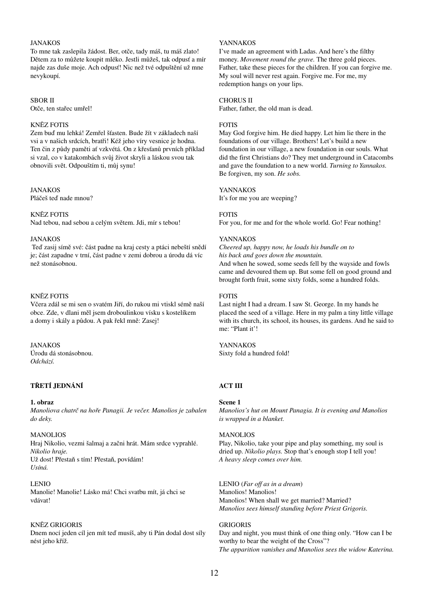### JANAKOS

To mne tak zaslepila žádost. Ber, otče, tady máš, tu máš zlato! Dětem za to můžete koupit mléko. Jestli můžeš, tak odpusť a mír najde zas duše moje. Ach odpusť! Nic než tvé odpuštění už mne nevykoupí.

#### SBOR II

Otče, ten stařec umřel!

### KNĚZ FOTIS

Zem buď mu lehká! Zemřel šťasten. Bude žít v základech naší vsi a v našich srdcích, bratři! Kéž jeho víry vesnice je hodna. Ten čin z půdy paměti ať vzkvétá. On z křesťanů prvních příklad si vzal, co v katakombách svůj život skryli a láskou svou tak obnovili svět. Odpouštím ti, můj synu!

### **JANAKOS**

Pláčeš teď nade mnou?

### KNĚZ FOTIS

Nad tebou, nad sebou a celým světem. Jdi, mír s tebou!

#### JANAKOS

Teď zasij símě své: část padne na kraj cesty a ptáci nebeští snědí je; část zapadne v trní, část padne v zemi dobrou a úrodu dá víc než stonásobnou.

### KNĚZ FOTIS

Včera zdál se mi sen o svatém Jiří, do rukou mi vtiskl sémě naší obce. Zde, v dlani měl jsem droboulinkou vísku s kostelíkem a domy i skály a půdou. A pak řekl mně: Zasej!

### **JANAKOS** Úrodu dá stonásobnou. *Odchází.*

### **TŘETÍ JEDNÁNÍ**

### **1. obraz**

*Manoliova chatrč na hoře Panagii. Je večer. Manolios je zabalen do deky.*

#### MANOLIOS

Hraj Nikolio, vezmi šalmaj a začni hrát. Mám srdce vyprahlé. *Nikolio hraje.* Už dost! Přestaň s tím! Přestaň, povídám! *Usíná.*

#### LENIO

Manolie! Manolie! Lásko má! Chci svatbu mít, já chci se vdávat!

### KNĚZ GRIGORIS

Dnem nocí jeden cíl jen mít teď musíš, aby ti Pán dodal dost síly nést jeho kříž.

### YANNAKOS

I've made an agreement with Ladas. And here's the filthy money. *Movement round the grave*. The three gold pieces. Father, take these pieces for the children. If you can forgive me. My soul will never rest again. Forgive me. For me, my redemption hangs on your lips.

#### CHORUS II

Father, father, the old man is dead.

### FOTIS

May God forgive him. He died happy. Let him lie there in the foundations of our village. Brothers! Let's build a new foundation in our village, a new foundation in our souls. What did the first Christians do? They met underground in Catacombs and gave the foundation to a new world. *Turning to Yannakos.* Be forgiven, my son. *He sobs.*

### YANNAKOS

It's for me you are weeping?

### FOTIS

For you, for me and for the whole world. Go! Fear nothing!

### YANNAKOS

*Cheered up, happy now, he loads his bundle on to his back and goes down the mountain.*  And when he sowed, some seeds fell by the wayside and fowls

came and devoured them up. But some fell on good ground and brought forth fruit, some sixty folds, some a hundred folds.

### FOTIS

Last night I had a dream. I saw St. George. In my hands he placed the seed of a village. Here in my palm a tiny little village with its church, its school, its houses, its gardens. And he said to me: "Plant it'!

YANNAKOS Sixty fold a hundred fold!

### **ACT III**

### **Scene 1**

*Manolios's hut on Mount Panagia. It is evening and Manolios is wrapped in a blanket.*

### **MANOLIOS**

Play, Nikolio, take your pipe and play something, my soul is dried up. *Nikolio plays.* Stop that's enough stop I tell you! *A heavy sleep comes over him.*

# LENIO (*Far off as in a dream*)

Manolios! Manolios! Manolios! When shall we get married? Married? *Manolios sees himself standing before Priest Grigoris.*

#### GRIGORIS

Day and night, you must think of one thing only. "How can I be worthy to bear the weight of the Cross"? *The apparition vanishes and Manolios sees the widow Katerina.*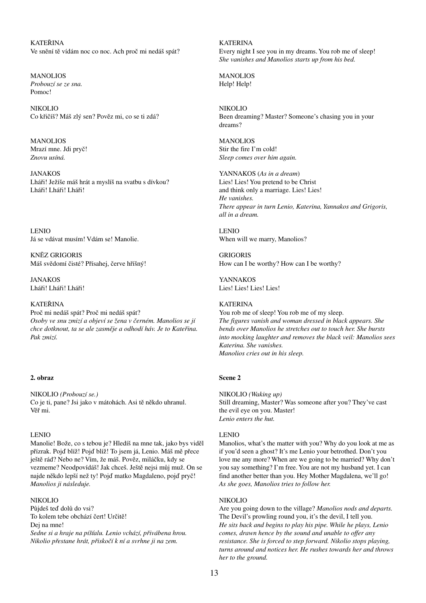KATEŘINA Ve snění tě vídám noc co noc. Ach proč mi nedáš spát?

MANOLIOS *Probouzí se ze sna.* Pomoc!

NIKOLIO Co křičíš? Máš zlý sen? Pověz mi, co se ti zdá?

MANOLIOS Mrazí mne. Jdi pryč! *Znovu usíná.*

JANAKOS Lháři! Ježíše máš hrát a myslíš na svatbu s dívkou? Lháři! Lháři! Lháři!

LENIO Já se vdávat musím! Vdám se! Manolie.

KNĚZ GRIGORIS Máš svědomí čisté? Přísahej, červe hříšný!

JANAKOS Lháři! Lháři! Lháři!

### KATEŘINA

Proč mi nedáš spát? Proč mi nedáš spát? *Osoby ve snu zmizí a objeví se žena v černém. Manolios se jí chce dotknout, ta se ale zasměje a odhodí háv. Je to Kateřina. Pak zmizí.*

#### **2. obraz**

NIKOLIO *(Probouzí se.)* Co je ti, pane? Jsi jako v mátohách. Asi tě někdo uhranul. Věř mi.

#### LENIO

Manolie! Bože, co s tebou je? Hledíš na mne tak, jako bys viděl přízrak. Pojď blíž! Pojď blíž! To jsem já, Lenio. Máš mě přece ještě rád? Nebo ne? Vím, že máš. Pověz, miláčku, kdy se vezmeme? Neodpovídáš! Jak chceš. Ještě nejsi můj muž. On se najde někdo lepší než ty! Pojď matko Magdaleno, pojď pryč! *Manolios ji následuje.*

### NIKOLIO

Půjdeš teď dolů do vsi? To kolem tebe obchází čert! Určitě! Dej na mne! *Sedne si a hraje na píšťalu. Lenio vchází, přivábena hrou. Nikolio přestane hrát, přiskočí k ní a svrhne ji na zem.*

**KATERINA** Every night I see you in my dreams. You rob me of sleep! *She vanishes and Manolios starts up from his bed.*

MANOLIOS Help! Help!

NIKOLIO Been dreaming? Master? Someone's chasing you in your dreams?

MANOLIOS Stir the fire I'm cold! *Sleep comes over him again.*

YANNAKOS (*As in a dream*) Lies! Lies! You pretend to be Christ and think only a marriage. Lies! Lies! *He vanishes. There appear in turn Lenio, Katerina, Yannakos and Grigoris, all in a dream.*

LENIO When will we marry, Manolios?

GRIGORIS How can I be worthy? How can I be worthy?

YANNAKOS Lies! Lies! Lies! Lies!

### **KATERINA**

You rob me of sleep! You rob me of my sleep. *The figures vanish and woman dressed in black appears. She bends over Manolios he stretches out to touch her. She bursts into mocking laughter and removes the black veil: Manolios sees Katerina. She vanishes. Manolios cries out in his sleep.*

#### **Scene 2**

NIKOLIO *(Waking up)*  Still dreaming, Master? Was someone after you? They've cast the evil eye on you. Master! *Lenio enters the hut.*

#### LENIO

Manolios, what's the matter with you? Why do you look at me as if you'd seen a ghost? It's me Lenio your betrothed. Don't you love me any more? When are we going to be married? Why don't you say something? I'm free. You are not my husband yet. I can find another better than you. Hey Mother Magdalena, we'll go! *As she goes, Manolios tries to follow her.*

#### NIKOLIO

Are you going down to the village? *Manolios nods and departs.* The Devil's prowling round you, it's the devil, I tell you. *He sits back and begins to play his pipe. While he plays, Lenio comes, drawn hence by the sound and unable to offer any resistance. She is forced to step forward. Nikolio stops playing, turns around and notices her. He rushes towards her and throws her to the ground.*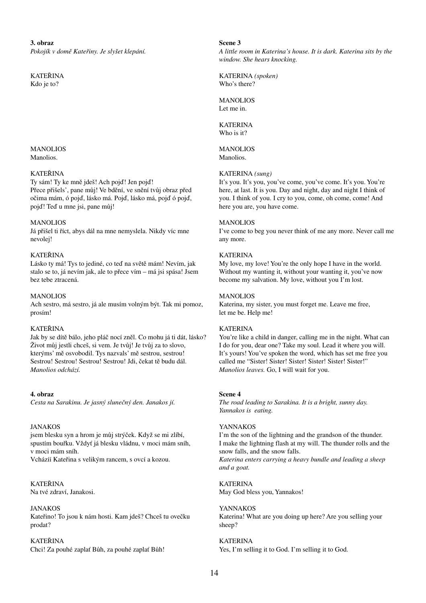**3. obraz**

*Pokojík v domě Kateřiny. Je slyšet klepání.*

KATEŘINA Kdo je to?

#### MANOLIOS Manolios.

### KATEŘINA

Ty sám! Ty ke mně jdeš! Ach pojď! Jen pojď! Přece přišels', pane můj! Ve bdění, ve snění tvůj obraz před očima mám, ó pojď, lásko má. Pojď, lásko má, pojď ó pojď, pojď! Teď u mne jsi, pane můj!

### MANOLIOS

Já přišel ti říct, abys dál na mne nemyslela. Nikdy víc mne nevolej!

### KATEŘINA

Lásko ty má! Tys to jediné, co teď na světě mám! Nevím, jak stalo se to, já nevím jak, ale to přece vím – má jsi spása! Jsem bez tebe ztracená.

### MANOLIOS

Ach sestro, má sestro, já ale musím volným být. Tak mi pomoz, prosím!

#### KATEŘINA

Jak by se dítě bálo, jeho pláč nocí zněl. Co mohu já ti dát, lásko? Život můj jestli chceš, si vem. Je tvůj! Je tvůj za to slovo, kterýms' mě osvobodil. Tys nazvals' mě sestrou, sestrou! Sestrou! Sestrou! Sestrou! Sestrou! Jdi, čekat tě budu dál. *Manolios odchází.*

#### **4. obraz**

*Cesta na Sarakinu. Je jasný slunečný den. Janakos jí.*

### JANAKOS

jsem blesku syn a hrom je můj strýček. Když se mi zlíbí, spustím bouřku. Vždyť já blesku vládnu, v moci mám sníh, v moci mám sníh. Vcházíí Kateřina s velikým rancem, s ovcí a kozou.

KATEŘINA Na tvé zdraví, Janakosi.

JANAKOS Kateřino! To jsou k nám hosti. Kam jdeš? Chceš tu ovečku prodat?

KATEŘINA Chci! Za pouhé zaplať Bůh, za pouhé zaplať Bůh! **Scene 3** *A little room in Katerina's house. It is dark. Katerina sits by the window. She hears knocking.*

KATERINA *(spoken)*  Who's there?

**MANOLIOS** Let me in.

**KATERINA** Who is it?

MANOLIOS Manolios.

### KATERINA *(sung)*

It's you. It's you, you've come, you've come. It's you. You're here, at last. It is you. Day and night, day and night I think of you. I think of you. I cry to you, come, oh come, come! And here you are, you have come.

### **MANOLIOS**

I've come to beg you never think of me any more. Never call me any more.

### **KATERINA**

My love, my love! You're the only hope I have in the world. Without my wanting it, without your wanting it, you've now become my salvation. My love, without you I'm lost.

### MANOLIOS

Katerina, my sister, you must forget me. Leave me free, let me be. Help me!

### **KATERINA**

You're like a child in danger, calling me in the night. What can I do for you, dear one? Take my soul. Lead it where you will. It's yours! You've spoken the word, which has set me free you called me "Sister! Sister! Sister! Sister! Sister! Sister!" *Manolios leaves.* Go, I will wait for you.

#### **Scene 4**

*The road leading to Sarakina. It is a bright, sunny day. Yannakos is eating.*

### YANNAKOS

I'm the son of the lightning and the grandson of the thunder. I make the lightning flash at my will. The thunder rolls and the snow falls, and the snow falls. *Katerina enters carrying a heavy bundle and leading a sheep and a goat.*

**KATERINA** May God bless you, Yannakos!

YANNAKOS Katerina! What are you doing up here? Are you selling your sheep?

### **KATERINA** Yes, I'm selling it to God. I'm selling it to God.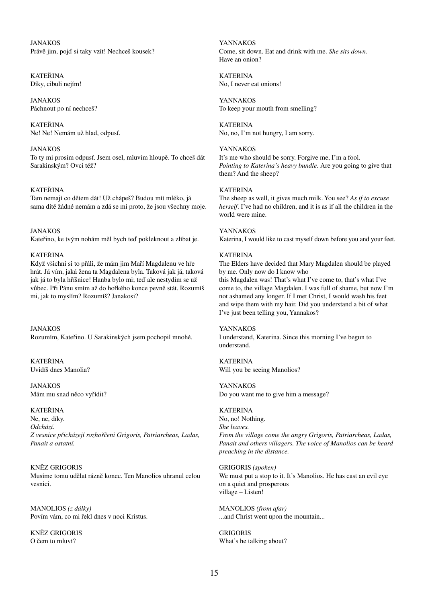JANAKOS Právě jim, pojď si taky vzít! Nechceš kousek?

KATEŘINA Díky, cibuli nejím!

JANAKOS Páchnout po ní nechceš?

KATEŘINA Ne! Ne! Nemám už hlad, odpusť.

### JANAKOS

To ty mi prosím odpusť. Jsem osel, mluvím hloupě. To chceš dát Sarakinským? Ovci též?

### KATEŘINA

Tam nemají co dětem dát! Už chápeš? Budou mít mléko, já sama dítě žádné nemám a zdá se mi proto, že jsou všechny moje.

JANAKOS Kateřino, ke tvým nohám měl bych teď pokleknout a zlíbat je.

#### KATEŘINA

Když všichni si to přáli, že mám jim Maří Magdalenu ve hře hrát. Já vím, jaká žena ta Magdalena byla. Taková jak já, taková jak já to byla hříšnice! Hanba bylo mi; teď ale nestydím se už vůbec. Při Pánu smím až do hořkého konce pevně stát. Rozumíš mi, jak to myslím? Rozumíš? Janakosi?

JANAKOS Rozumím, Kateřino. U Sarakinských jsem pochopil mnohé.

KATEŘINA Uvidíš dnes Manolia?

JANAKOS Mám mu snad něco vyřídit?

### KATEŘINA

Ne, ne, díky. *Odchází. Z vesnice přicházejí rozhořčeni Grigoris, Patriarcheas, Ladas, Panait a ostatní.*

### KNĚZ GRIGORIS

Musíme tomu udělat rázně konec. Ten Manolios uhranul celou vesnici.

MANOLIOS *(z dálky)* Povím vám, co mi řekl dnes v noci Kristus.

KNĚZ GRIGORIS O čem to mluví?

YANNAKOS Come, sit down. Eat and drink with me. *She sits down.*  Have an onion?

KATERINA No, I never eat onions!

YANNAKOS To keep your mouth from smelling?

**KATERINA** No, no, I'm not hungry, I am sorry.

### YANNAKOS

It's me who should be sorry. Forgive me, I'm a fool. *Pointing to Katerina's heavy bundle.* Are you going to give that them? And the sheep?

#### **KATERINA**

The sheep as well, it gives much milk. You see? *As if to excuse herself*. I've had no children, and it is as if all the children in the world were mine.

YANNAKOS Katerina, I would like to cast myself down before you and your feet.

### KATERINA

The Elders have decided that Mary Magdalen should be played by me. Only now do I know who this Magdalen was! That's what I've come to, that's what I've come to, the village Magdalen. I was full of shame, but now I'm not ashamed any longer. If I met Christ, I would wash his feet and wipe them with my hair. Did you understand a bit of what I've just been telling you, Yannakos?

### YANNAKOS

I understand, Katerina. Since this morning I've begun to understand.

**KATERINA** Will you be seeing Manolios?

YANNAKOS Do you want me to give him a message?

KATERINA No, no! Nothing. *She leaves. From the village come the angry Grigoris, Patriarcheas, Ladas, Panait and others villagers. The voice of Manolios can be heard preaching in the distance.*

GRIGORIS *(spoken)*  We must put a stop to it. It's Manolios. He has cast an evil eye on a quiet and prosperous village – Listen!

MANOLIOS *(from afar)* ...and Christ went upon the mountain...

GRIGORIS What's he talking about?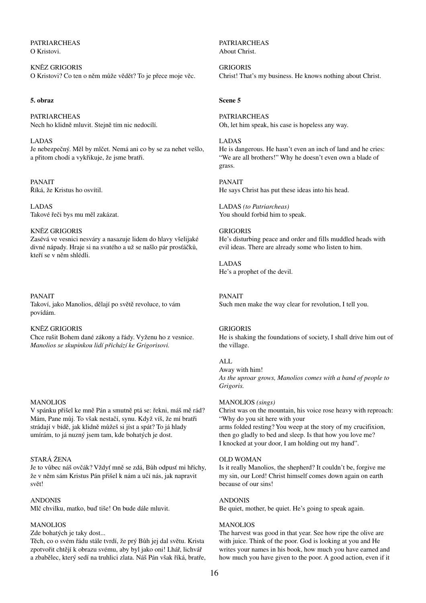PATRIARCHEAS O Kristovi.

KNĚZ GRIGORIS O Kristovi? Co ten o něm může vědět? To je přece moje věc.

#### **5. obraz**

PATRIARCHEAS Nech ho klidně mluvit. Stejně tím nic nedocílí.

LADAS Je nebezpečný. Měl by mlčet. Nemá ani co by se za nehet vešlo, a přitom chodí a vykřikuje, že jsme bratři.

PANAIT Říká, že Kristus ho osvítil.

LADAS Takové řeči bys mu měl zakázat.

#### KNĚZ GRIGORIS

Zasévá ve vesnici nesváry a nasazuje lidem do hlavy všelijaké divné nápady. Hraje si na svatého a už se našlo pár prosťáčků, kteří se v něm shlédli.

PANAIT

Takoví, jako Manolios, dělají po světě revoluce, to vám povídám.

### KNĚZ GRIGORIS

Chce rušit Bohem dané zákony a řády. Vyženu ho z vesnice. *Manolios se skupinkou lidí přichází ke Grigorisovi.*

### MANOLIOS

V spánku přišel ke mně Pán a smutně ptá se: řekni, máš mě rád? Mám, Pane můj. To však nestačí, synu. Když víš, že mí bratři strádají v bídě, jak klidně můžeš si jíst a spát? To já hlady umírám, to já nuzný jsem tam, kde bohatých je dost.

#### STARÁ ŽENA

Je to vůbec náš ovčák? Vždyť mně se zdá, Bůh odpusť mi hříchy, že v něm sám Kristus Pán přišel k nám a učí nás, jak napravit svět!

#### ANDONIS

Mlč chvilku, matko, buď tiše! On bude dále mluvit.

### MANOLIOS

Zde bohatých je taky dost...

Těch, co o svém řádu stále tvrdí, že prý Bůh jej dal světu. Krista zpotvořit chtějí k obrazu svému, aby byl jako oni! Lhář, lichvář a zbabělec, který sedí na truhlici zlata. Náš Pán však říká, bratře, PATRIARCHEAS About Christ.

GRIGORIS Christ! That's my business. He knows nothing about Christ.

### **Scene 5**

PATRIARCHEAS Oh, let him speak, his case is hopeless any way.

#### LADAS

He is dangerous. He hasn't even an inch of land and he cries: "We are all brothers!" Why he doesn't even own a blade of grass.

PANAIT He says Christ has put these ideas into his head.

LADAS *(to Patriarcheas)*  You should forbid him to speak.

### **GRIGORIS**

He's disturbing peace and order and fills muddled heads with evil ideas. There are already some who listen to him.

# LADAS

He's a prophet of the devil.

### PANAIT

Such men make the way clear for revolution, I tell you.

### **GRIGORIS**

He is shaking the foundations of society, I shall drive him out of the village.

### ALL

Away with him! *As the uproar grows, Manolios comes with a band of people to Grigoris.*

### MANOLIOS *(sings)*

Christ was on the mountain, his voice rose heavy with reproach: "Why do you sit here with your arms folded resting? You weep at the story of my crucifixion, then go gladly to bed and sleep. Is that how you love me? I knocked at your door, I am holding out my hand".

#### OLD WOMAN

Is it really Manolios, the shepherd? It couldn't be, forgive me my sin, our Lord! Christ himself comes down again on earth because of our sins!

#### ANDONIS

Be quiet, mother, be quiet. He's going to speak again.

#### **MANOLIOS**

The harvest was good in that year. See how ripe the olive are with juice. Think of the poor. God is looking at you and He writes your names in his book, how much you have earned and how much you have given to the poor. A good action, even if it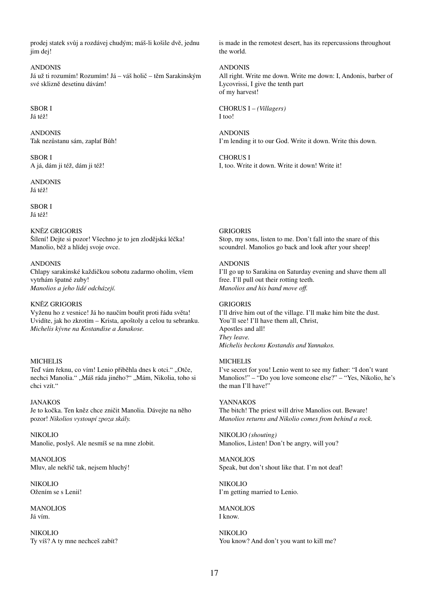prodej statek svůj a rozdávej chudým; máš-li košile dvě, jednu jim dej!

ANDONIS Já už ti rozumím! Rozumím! Já – váš holič – těm Sarakinským své sklizně desetinu dávám!

### SBOR I

Já též!

ANDONIS Tak nezůstanu sám, zaplať Bůh!

SBOR I A já, dám ji též, dám ji též!

ANDONIS Já též!

SBOR I Já též!

KNĚZ GRIGORIS

Šílení! Dejte si pozor! Všechno je to jen zlodějská léčka! Manolio, běž a hlídej svoje ovce.

### ANDONIS

Chlapy sarakinské každičkou sobotu zadarmo oholím, všem vytrhám špatné zuby! *Manolios a jeho lidé odcházejí.*

#### KNĚZ GRIGORIS

Vyženu ho z vesnice! Já ho naučím bouřit proti řádu světa! Uvidíte, jak ho zkrotím – Krista, apoštoly a celou tu sebranku. *Michelis kývne na Kostandise a Janakose.*

#### **MICHELIS**

Teď vám řeknu, co vím! Lenio přiběhla dnes k otci." "Otče, nechci Manolia." "Máš ráda jiného?" "Mám, Nikolia, toho si chci vzít."

JANAKOS Je to kočka. Ten kněz chce zničit Manolia. Dávejte na něho pozor! *Nikolios vystoupí zpoza skály.*

NIKOLIO Manolie, poslyš. Ale nesmíš se na mne zlobit.

MANOLIOS Mluv, ale nekřič tak, nejsem hluchý!

NIKOLIO Ožením se s Lenií!

MANOLIOS Já vím.

NIKOLIO Ty víš? A ty mne nechceš zabít? is made in the remotest desert, has its repercussions throughout the world.

ANDONIS All right. Write me down. Write me down: I, Andonis, barber of Lycovrissi, I give the tenth part of my harvest!

CHORUS I – *(Villagers)* I too!

ANDONIS I'm lending it to our God. Write it down. Write this down.

CHORUS I I, too. Write it down. Write it down! Write it!

GRIGORIS

Stop, my sons, listen to me. Don't fall into the snare of this scoundrel. Manolios go back and look after your sheep!

#### ANDONIS

I'll go up to Sarakina on Saturday evening and shave them all free. I'll pull out their rotting teeth. *Manolios and his band move off.*

#### GRIGORIS

I'll drive him out of the village. I'll make him bite the dust. You'll see! I'll have them all, Christ, Apostles and all! *They leave. Michelis beckons Kostandis and Yannakos.*

#### **MICHELIS**

I've secret for you! Lenio went to see my father: "I don't want Manolios!" – "Do you love someone else?" – "Yes, Nikolio, he's the man I'll have!"

YANNAKOS The bitch! The priest will drive Manolios out. Beware! *Manolios returns and Nikolio comes from behind a rock.*

NIKOLIO *(shouting)*  Manolios, Listen! Don't be angry, will you?

MANOLIOS Speak, but don't shout like that. I'm not deaf!

NIKOLIO I'm getting married to Lenio.

**MANOLIOS** I know.

NIKOLIO You know? And don't you want to kill me?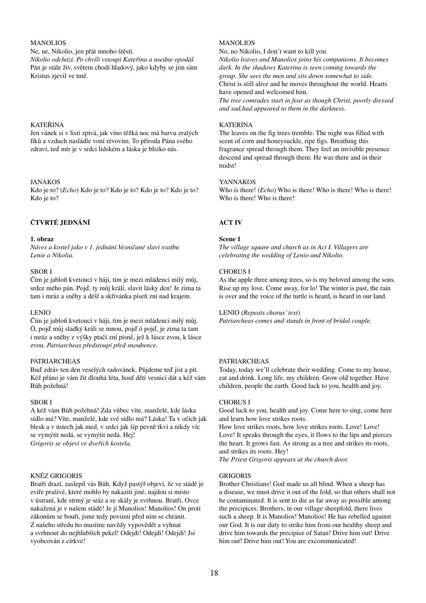### MANOLIOS

Ne, ne, Nikolio, jen přát mnoho štěstí. *Nikolio odchází. Po chvíli vstoupí Kateřina a usedne opodál.* Pán je stále živ, světem chodí hladový, jako kdyby se jim sám Kristus zjevil ve tmě.

### KATEŘINA

Jen vánek si v listí zpívá, jak víno těžká noc má barvu zralých fíků a vzduch nasládle voní révovím. To příroda Pána svého zdraví, teď mír je v srdci lidském a láska je blízko nás.

### JANAKOS

Kdo je to? (*Echo*) Kdo je to? Kdo je to? Kdo je to? Kdo je to? Kdo je to?

### **ČTVRTÉ JEDNÁNÍ**

### **1. obraz**

*Náves a kostel jako v 1. jednání.Vesničané slaví svatbu Lenie a Nikolia.*

### SBOR I

Čím je jabloň kvetoucí v háji, tím je mezi mládenci milý můj, srdce mého pán. Pojď, ty můj králi, slavit lásky den! Je zima ta tam i mráz a sněhy a déšť a skřivánka píseň zní nad krajem.

#### LENIO

Čím je jabloň kvetoucí v háji, tím je mezi mládenci milý můj. Ó, pojď můj sladký králi se mnou, pojď ó pojď, je zima ta tam i mráz a sněhy z výšky ptačí zní písně, jež k lásce zvou, k lásce zvou. *Patriarcheas předstoupí před snoubence.*

### PATRIARCHEAS

Buď zdráv ten den veselých radovánek. Půjdeme teď jíst a pít. Kéž přáno je vám žít dlouhá léta, houf dětí vesnici dát a kéž vám Bůh požehná!

#### SBOR I

A kéž vám Bůh požehná! Zda vůbec víte, manželé, kde láska sídlo má? Víte, manželé, kde své sídlo má? Láska! Ta v očích jak blesk a v ústech jak med, v srdci jak šíp pevně tkví a nikdy víc se vymýtit nedá, se vymýtit nedá. Hej! *Grigoris se objeví ve dveřích kostela.*

### KNĚZ GRIGORIS

Bratři drazí, zaslepil vás Bůh. Když pastýř objeví, že ve stádě je zvíře prašivé, které mohlo by nakaziti jiné, najdou si místo v ústraní, kde strmý je sráz a ze skály je svrhnou. Bratři. Ovce nakažená je v našem stádě! Je jí Manolios! Manolios! On proti zákonům se bouří, jsme tedy povinni před ním se chránit. Z našeho středu ho musíme navždy vypovědět a vyhnat a svrhnout do nejhlubších pekel! Odejdi! Odejdi! Odejdi! Jsi vyobcován z církve!

### **MANOLIOS**

No, no Nikolio, I don't want to kill you.

*Nikolio leaves and Manolios joins his companions. It becomes dark. In the shadows Katerina is seen coming towards the group. She sees the men and sits down somewhat to side.* Christ is still alive and he moves throughout the world. Hearts have opened and welcomed him.

*The tree comrades start in fear as though Christ, poorly dressed and sad,had appeared to them in the darkness.*

### **KATERINA**

The leaves on the fig trees tremble. The night was filled with scent of corn and honeysuckle, ripe figs. Breathing this fragrance spread through them. They feel an invisible presence descend and spread through them: He was there and in their midst!

### YANNAKOS

Who is there! (*Echo*) Who is there! Who is there! Who is there! Who is there! Who is there!

### **ACT IV**

### **Scene 1**

*The village square and church as in Act I. Villagers are celebrating the wedding of Lenio and Nikolio.*

### CHORUS I

As the apple three among trees, so is my beloved among the sons. Rise up my love. Come away, for lo! The winter is past, the rain is over and the voice of the turtle is heard, is heard in our land.

#### LENIO (*Repeats chorus' text*)

*Patriarcheas comes and stands in front of bridal couple.*

### PATRIARCHEAS

Today, today we'll celebrate their wedding. Come to my house, eat and drink. Long life, my children. Grow old together. Have children, people the earth. Good luck to you, health and joy.

### CHORUS I

Good luck to you, health and joy. Come here to sing, come here and learn how love strikes roots.

How love strikes roots, how love strikes roots. Love! Love! Love! It speaks through the eyes, it flows to the lips and pierces the heart. It grows fast. As strong as a tree and strikes its roots, and strikes its roots. Hey!

*The Priest Grigoris appears at the church door.*

### **GRIGORIS**

Brother Christians! God made us all blind. When a sheep has a disease, we must drive it out of the fold, so that others shall not be contaminated. It is sent to die as far away as possible among the precipices. Brothers, in our village sheepfold, there lives such a sheep. It is Manolios! Manolios! He has rebelled against our God. It is our duty to strike him from our healthy sheep and drive him towards the precipice of Satan! Drive him out! Drive him out! Drive him out! You are excommunicated!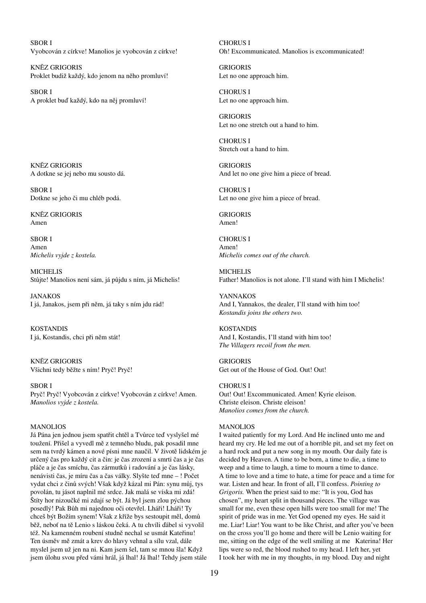SBOR I Vyobcován z církve! Manolios je vyobcován z církve!

KNĚZ GRIGORIS Proklet budiž každý, kdo jenom na něho promluví!

SBOR I A proklet buď každý, kdo na něj promluví!

KNĚZ GRIGORIS A dotkne se jej nebo mu sousto dá.

SBOR I Dotkne se jeho či mu chléb podá.

KNĚZ GRIGORIS Amen

SBOR I Amen *Michelis vyjde z kostela.*

**MICHELIS** Stůjte! Manolios není sám, já půjdu s ním, já Michelis!

**JANAKOS** I já, Janakos, jsem při něm, já taky s ním jdu rád!

KOSTANDIS I já, Kostandis, chci při něm stát!

KNĚZ GRIGORIS Všichni tedy běžte s ním! Pryč! Pryč!

#### SBOR I

Pryč! Pryč! Vyobcován z církve! Vyobcován z církve! Amen. *Manolios vyjde z kostela.*

### MANOLIOS

Já Pána jen jednou jsem spatřit chtěl a Tvůrce teď vyslyšel mé toužení. Přišel a vyvedl mě z temného bludu, pak posadil mne sem na tvrdý kámen a nové písni mne naučil. V životě lidském je určený čas pro každý cit a čin: je čas zrození a smrti čas a je čas pláče a je čas smíchu, čas zármutků i radování a je čas lásky, nenávisti čas, je míru čas a čas války. Slyšte teď mne – ! Počet vydat chci z činů svých! Však když kázal mi Pán: synu můj, tys povolán, tu jásot naplnil mé srdce. Jak malá se víska mi zdá! Štíty hor nizoučké mi zdají se být. Já byl jsem zlou pýchou posedlý! Pak Bůh mi najednou oči otevřel. Lháři! Lháři! Ty chceš být Božím synem! Však z kříže bys sestoupit měl, domů běž, neboť na tě Lenio s láskou čeká. A tu chvíli ďábel si vyvolil též. Na kamenném roubení studně nechal se usmát Kateřinu! Ten úsměv mě zmát a krev do hlavy vehnal a sílu vzal, dále myslel jsem už jen na ni. Kam jsem šel, tam se mnou šla! Když jsem úlohu svou před vámi hrál, já lhal! Já lhal! Tehdy jsem stále CHORUS I Oh! Excommunicated. Manolios is excommunicated!

GRIGORIS Let no one approach him.

CHORUS I Let no one approach him.

GRIGORIS Let no one stretch out a hand to him.

CHORUS I Stretch out a hand to him.

GRIGORIS And let no one give him a piece of bread.

CHORUS I Let no one give him a piece of bread.

GRIGORIS Amen!

CHORUS I Amen! *Michelis comes out of the church.*

MICHELIS Father! Manolios is not alone. I'll stand with him I Michelis!

YANNAKOS And I, Yannakos, the dealer, I'll stand with him too! *Kostandis joins the others two.*

KOSTANDIS And I, Kostandis, I'll stand with him too! *The Villagers recoil from the men.*

GRIGORIS Get out of the House of God. Out! Out!

CHORUS I Out! Out! Excommunicated. Amen! Kyrie eleison. Christe eleison. Christe eleison! *Manolios comes from the church.*

#### MANOLIOS

I waited patiently for my Lord. And He inclined unto me and heard my cry. He led me out of a horrible pit, and set my feet on a hard rock and put a new song in my mouth. Our daily fate is decided by Heaven. A time to be born, a time to die, a time to weep and a time to laugh, a time to mourn a time to dance. A time to love and a time to hate, a time for peace and a time for war. Listen and hear. In front of all, I'll confess. *Pointing to Grigoris.* When the priest said to me: "It is you, God has chosen", my heart split in thousand pieces. The village was small for me, even these open hills were too small for me! The spirit of pride was in me. Yet God opened my eyes. He said it me. Liar! Liar! You want to be like Christ, and after you've been on the cross you'll go home and there will be Lenio waiting for me, sitting on the edge of the well smiling at me Katerina! Her lips were so red, the blood rushed to my head. I left her, yet I took her with me in my thoughts, in my blood. Day and night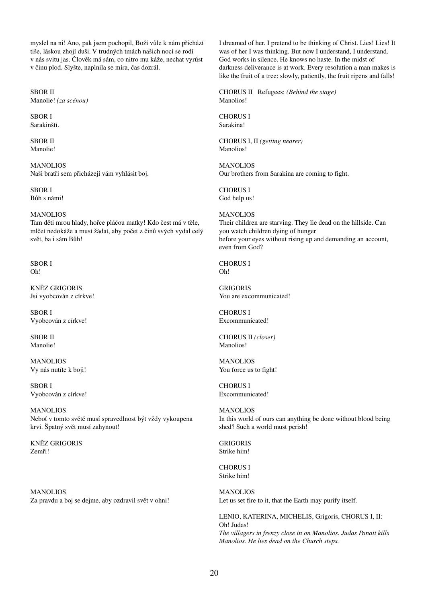myslel na ni! Ano, pak jsem pochopil, Boží vůle k nám přichází tiše, láskou zhojí duši. V trudných tmách našich nocí se rodí v nás svitu jas. Člověk má sám, co nitro mu káže, nechat vyrůst v činu plod. Slyšte, naplnila se míra, čas dozrál.

SBOR II Manolie! *(za scénou)*

SBOR I Sarakinští.

SBOR II Manolie!

MANOLIOS Naši bratři sem přicházejí vám vyhlásit boj.

SBOR I Bůh s námi!

MANOLIOS Tam děti mrou hlady, hořce pláčou matky! Kdo čest má v těle, mlčet nedokáže a musí žádat, aby počet z činů svých vydal celý svět, ba i sám Bůh!

SBOR I Oh!

KNĚZ GRIGORIS Jsi vyobcován z církve!

SBOR I Vyobcován z církve!

SBOR II Manolie!

**MANOLIOS** Vy nás nutíte k boji!

SBOR I Vyobcován z církve!

MANOLIOS Neboť v tomto světě musí spravedlnost být vždy vykoupena krví. Špatný svět musí zahynout!

KNĚZ GRIGORIS Zemři!

MANOLIOS Za pravdu a boj se dejme, aby ozdravil svět v ohni! I dreamed of her. I pretend to be thinking of Christ. Lies! Lies! It was of her I was thinking. But now I understand, I understand. God works in silence. He knows no haste. In the midst of darkness deliverance is at work. Every resolution a man makes is like the fruit of a tree: slowly, patiently, the fruit ripens and falls!

CHORUS II Refugees: *(Behind the stage)*  Manolios!

CHORUS I Sarakina!

CHORUS I, II *(getting nearer)*  Manolios!

MANOLIOS Our brothers from Sarakina are coming to fight.

CHORUS I God help us!

MANOLIOS Their children are starving. They lie dead on the hillside. Can you watch children dying of hunger before your eyes without rising up and demanding an account, even from God?

CHORUS I Oh!

**GRIGORIS** You are excommunicated!

CHORUS I Excommunicated!

CHORUS II *(closer)*  Manolios!

**MANOLIOS** You force us to fight!

CHORUS I Excommunicated!

**MANOLIOS** In this world of ours can anything be done without blood being shed? Such a world must perish!

GRIGORIS Strike him!

CHORUS I Strike him!

MANOLIOS Let us set fire to it, that the Earth may purify itself.

LENIO, KATERINA, MICHELIS, Grigoris, CHORUS I, II: Oh! Judas! *The villagers in frenzy close in on Manolios. Judas Panait kills Manolios. He lies dead on the Church steps.*